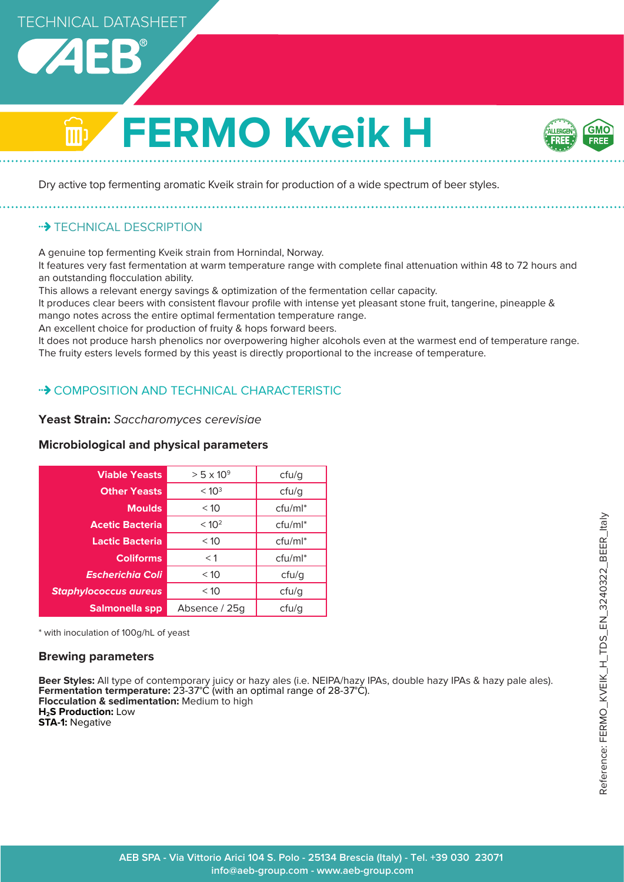

# **FERMO Kveik H**



Dry active top fermenting aromatic Kveik strain for production of a wide spectrum of beer styles.

# **BECHNICAL DESCRIPTION**

A genuine top fermenting Kveik strain from Hornindal, Norway.

It features very fast fermentation at warm temperature range with complete final attenuation within 48 to 72 hours and an outstanding flocculation ability.

This allows a relevant energy savings & optimization of the fermentation cellar capacity.

It produces clear beers with consistent flavour profile with intense yet pleasant stone fruit, tangerine, pineapple & mango notes across the entire optimal fermentation temperature range.

An excellent choice for production of fruity & hops forward beers.

It does not produce harsh phenolics nor overpowering higher alcohols even at the warmest end of temperature range. The fruity esters levels formed by this yeast is directly proportional to the increase of temperature.

# • COMPOSITION AND TECHNICAL CHARACTERISTIC

# **Yeast Strain:** Saccharomyces cerevisiae

| <b>Viable Yeasts</b>         | $>$ 5 x 10 <sup>9</sup> | cfu/g               |
|------------------------------|-------------------------|---------------------|
| <b>Other Yeasts</b>          | < 10 <sup>3</sup>       | cfu/g               |
| <b>Moulds</b>                | < 10                    | $ctu/ml^*$          |
| <b>Acetic Bacteria</b>       | < 10 <sup>2</sup>       | cfu/ml*             |
| Lactic Bacteria              | < 10                    | cfu/ml <sup>*</sup> |
| <b>Coliforms</b>             | $<$ 1                   | $ctu/ml^*$          |
| <b>Escherichia Coli</b>      | < 10                    | ctu/g               |
| <b>Staphylococcus aureus</b> | < 10                    | ctu/g               |
| Salmonella spp               | Absence / 25g           | ctu/g               |
|                              |                         |                     |

# **Microbiological and physical parameters**

\* with inoculation of 100g/hL of yeast

## **Brewing parameters**

**Beer Styles:** All type of contemporary juicy or hazy ales (i.e. NEIPA/hazy IPAs, double hazy IPAs & hazy pale ales). **Fermentation termperature:** 23-37°C (with an optimal range of 28-37°C). **Flocculation & sedimentation:** Medium to high **H2S Production:** Low **STA-1:** Negative